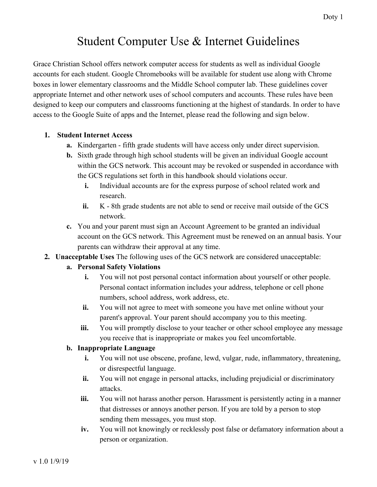# Student Computer Use & Internet Guidelines

Grace Christian School offers network computer access for students as well as individual Google accounts for each student. Google Chromebooks will be available for student use along with Chrome boxes in lower elementary classrooms and the Middle School computer lab. These guidelines cover appropriate Internet and other network uses of school computers and accounts. These rules have been designed to keep our computers and classrooms functioning at the highest of standards. In order to have access to the Google Suite of apps and the Internet, please read the following and sign below.

#### **1. Student Internet Access**

- **a.** Kindergarten fifth grade students will have access only under direct supervision.
- **b.** Sixth grade through high school students will be given an individual Google account within the GCS network. This account may be revoked or suspended in accordance with the GCS regulations set forth in this handbook should violations occur.
	- **i.** Individual accounts are for the express purpose of school related work and research.
	- **ii.** K 8th grade students are not able to send or receive mail outside of the GCS network.
- **c.** You and your parent must sign an Account Agreement to be granted an individual account on the GCS network. This Agreement must be renewed on an annual basis. Your parents can withdraw their approval at any time.
- **2. Unacceptable Uses** The following uses of the GCS network are considered unacceptable:

#### **a. Personal Safety Violations**

- **i.** You will not post personal contact information about yourself or other people. Personal contact information includes your address, telephone or cell phone numbers, school address, work address, etc.
- **ii.** You will not agree to meet with someone you have met online without your parent's approval. Your parent should accompany you to this meeting.
- **iii.** You will promptly disclose to your teacher or other school employee any message you receive that is inappropriate or makes you feel uncomfortable.

#### **b. Inappropriate Language**

- **i.** You will not use obscene, profane, lewd, vulgar, rude, inflammatory, threatening, or disrespectful language.
- **ii.** You will not engage in personal attacks, including prejudicial or discriminatory attacks.
- **iii.** You will not harass another person. Harassment is persistently acting in a manner that distresses or annoys another person. If you are told by a person to stop sending them messages, you must stop.
- **iv.** You will not knowingly or recklessly post false or defamatory information about a person or organization.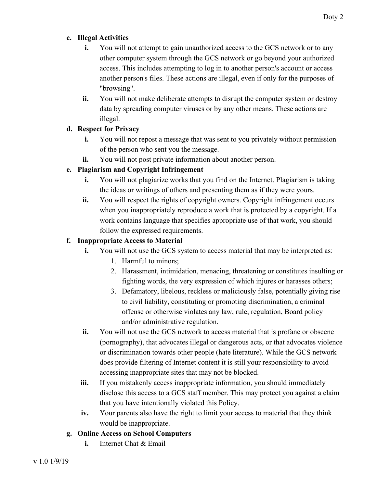#### **c. Illegal Activities**

- **i.** You will not attempt to gain unauthorized access to the GCS network or to any other computer system through the GCS network or go beyond your authorized access. This includes attempting to log in to another person's account or access another person's files. These actions are illegal, even if only for the purposes of "browsing".
- **ii.** You will not make deliberate attempts to disrupt the computer system or destroy data by spreading computer viruses or by any other means. These actions are illegal.

### **d. Respect for Privacy**

- **i.** You will not repost a message that was sent to you privately without permission of the person who sent you the message.
- **ii.** You will not post private information about another person.

# **e. Plagiarism and Copyright Infringement**

- **i.** You will not plagiarize works that you find on the Internet. Plagiarism is taking the ideas or writings of others and presenting them as if they were yours.
- **ii.** You will respect the rights of copyright owners. Copyright infringement occurs when you inappropriately reproduce a work that is protected by a copyright. If a work contains language that specifies appropriate use of that work, you should follow the expressed requirements.

## **f. Inappropriate Access to Material**

- **i.** You will not use the GCS system to access material that may be interpreted as:
	- 1. Harmful to minors;
	- 2. Harassment, intimidation, menacing, threatening or constitutes insulting or fighting words, the very expression of which injures or harasses others;
	- 3. Defamatory, libelous, reckless or maliciously false, potentially giving rise to civil liability, constituting or promoting discrimination, a criminal offense or otherwise violates any law, rule, regulation, Board policy and/or administrative regulation.
- **ii.** You will not use the GCS network to access material that is profane or obscene (pornography), that advocates illegal or dangerous acts, or that advocates violence or discrimination towards other people (hate literature). While the GCS network does provide filtering of Internet content it is still your responsibility to avoid accessing inappropriate sites that may not be blocked.
- **iii.** If you mistakenly access inappropriate information, you should immediately disclose this access to a GCS staff member. This may protect you against a claim that you have intentionally violated this Policy.
- **iv.** Your parents also have the right to limit your access to material that they think would be inappropriate.

# **g. Online Access on School Computers**

**i.** Internet Chat & Email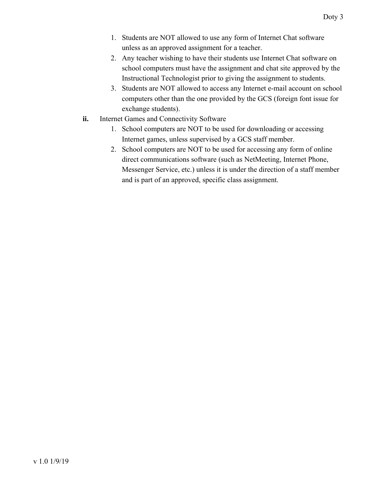- 1. Students are NOT allowed to use any form of Internet Chat software unless as an approved assignment for a teacher.
- 2. Any teacher wishing to have their students use Internet Chat software on school computers must have the assignment and chat site approved by the Instructional Technologist prior to giving the assignment to students.
- 3. Students are NOT allowed to access any Internet e-mail account on school computers other than the one provided by the GCS (foreign font issue for exchange students).
- **ii.** Internet Games and Connectivity Software
	- 1. School computers are NOT to be used for downloading or accessing Internet games, unless supervised by a GCS staff member.
	- 2. School computers are NOT to be used for accessing any form of online direct communications software (such as NetMeeting, Internet Phone, Messenger Service, etc.) unless it is under the direction of a staff member and is part of an approved, specific class assignment.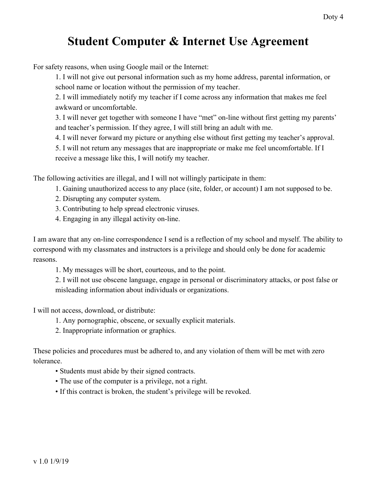# **Student Computer & Internet Use Agreement**

For safety reasons, when using Google mail or the Internet:

1. I will not give out personal information such as my home address, parental information, or school name or location without the permission of my teacher.

2. I will immediately notify my teacher if I come across any information that makes me feel awkward or uncomfortable.

3. I will never get together with someone I have "met" on-line without first getting my parents' and teacher's permission. If they agree, I will still bring an adult with me.

4. I will never forward my picture or anything else without first getting my teacher's approval.

5. I will not return any messages that are inappropriate or make me feel uncomfortable. If I receive a message like this, I will notify my teacher.

The following activities are illegal, and I will not willingly participate in them:

- 1. Gaining unauthorized access to any place (site, folder, or account) I am not supposed to be.
- 2. Disrupting any computer system.
- 3. Contributing to help spread electronic viruses.
- 4. Engaging in any illegal activity on-line.

I am aware that any on-line correspondence I send is a reflection of my school and myself. The ability to correspond with my classmates and instructors is a privilege and should only be done for academic reasons.

1. My messages will be short, courteous, and to the point.

2. I will not use obscene language, engage in personal or discriminatory attacks, or post false or misleading information about individuals or organizations.

I will not access, download, or distribute:

- 1. Any pornographic, obscene, or sexually explicit materials.
- 2. Inappropriate information or graphics.

These policies and procedures must be adhered to, and any violation of them will be met with zero tolerance.

- Students must abide by their signed contracts.
- The use of the computer is a privilege, not a right.
- If this contract is broken, the student's privilege will be revoked.